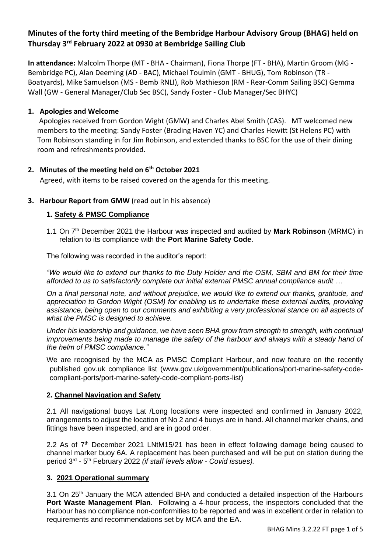# **Minutes of the forty third meeting of the Bembridge Harbour Advisory Group (BHAG) held on Thursday 3rd February 2022 at 0930 at Bembridge Sailing Club**

**In attendance:** Malcolm Thorpe (MT - BHA - Chairman), Fiona Thorpe (FT - BHA), Martin Groom (MG - Bembridge PC), Alan Deeming (AD - BAC), Michael Toulmin (GMT - BHUG), Tom Robinson (TR - Boatyards), Mike Samuelson (MS - Bemb RNLI), Rob Mathieson (RM - Rear-Comm Sailing BSC) Gemma Wall (GW - General Manager/Club Sec BSC), Sandy Foster - Club Manager/Sec BHYC)

#### **1. Apologies and Welcome**

Apologies received from Gordon Wight (GMW) and Charles Abel Smith (CAS). MT welcomed new members to the meeting: Sandy Foster (Brading Haven YC) and Charles Hewitt (St Helens PC) with Tom Robinson standing in for Jim Robinson, and extended thanks to BSC for the use of their dining room and refreshments provided.

### **2. Minutes of the meeting held on 6th October 2021**

Agreed, with items to be raised covered on the agenda for this meeting.

### **3. Harbour Report from GMW** (read out in his absence)

### **1. Safety & PMSC Compliance**

1.1 On 7th December 2021 the Harbour was inspected and audited by **Mark Robinson** (MRMC) in relation to its compliance with the **Port Marine Safety Code**.

The following was recorded in the auditor's report:

*"We would like to extend our thanks to the Duty Holder and the OSM, SBM and BM for their time afforded to us to satisfactorily complete our initial external PMSC annual compliance audit …*

*On a final personal note, and without prejudice, we would like to extend our thanks, gratitude, and appreciation to Gordon Wight (OSM) for enabling us to undertake these external audits, providing assistance, being open to our comments and exhibiting a very professional stance on all aspects of what the PMSC is designed to achieve.*

*Under his leadership and guidance, we have seen BHA grow from strength to strength, with continual*  improvements being made to manage the safety of the harbour and always with a steady hand of *the helm of PMSC compliance."*

We are recognised by the MCA as PMSC Compliant Harbour, and now feature on the recently published gov.uk compliance list [\(www.gov.uk/government/publications/port-marine-safety-code](http://www.gov.uk/government/publications/port-marine-safety-code-compliant-ports/port-marine-safety-code-compliant-ports-list)[compliant-ports/port-marine-safety-code-compliant-ports-list\)](http://www.gov.uk/government/publications/port-marine-safety-code-compliant-ports/port-marine-safety-code-compliant-ports-list)

#### **2. Channel Navigation and Safety**

2.1 All navigational buoys Lat /Long locations were inspected and confirmed in January 2022, arrangements to adjust the location of No 2 and 4 buoys are in hand. All channel marker chains, and fittings have been inspected, and are in good order.

2.2 As of  $7<sup>th</sup>$  December 2021 LNtM15/21 has been in effect following damage being caused to channel marker buoy 6A. A replacement has been purchased and will be put on station during the period 3rd - 5 th February 2022 *(if staff levels allow - Covid issues).*

# **3. 2021 Operational summary**

3.1 On  $25<sup>th</sup>$  January the MCA attended BHA and conducted a detailed inspection of the Harbours **Port Waste Management Plan**. Following a 4-hour process, the inspectors concluded that the Harbour has no compliance non-conformities to be reported and was in excellent order in relation to requirements and recommendations set by MCA and the EA.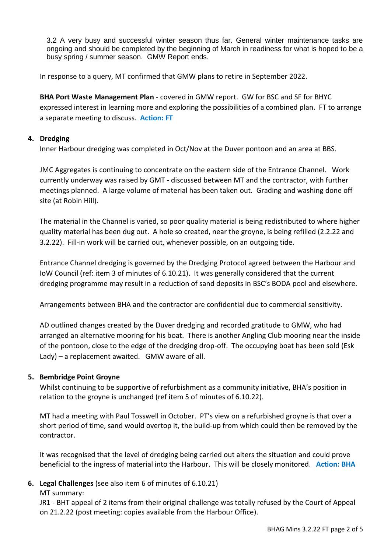3.2 A very busy and successful winter season thus far. General winter maintenance tasks are ongoing and should be completed by the beginning of March in readiness for what is hoped to be a busy spring / summer season. GMW Report ends.

In response to a query, MT confirmed that GMW plans to retire in September 2022.

**BHA Port Waste Management Plan** - covered in GMW report. GW for BSC and SF for BHYC expressed interest in learning more and exploring the possibilities of a combined plan. FT to arrange a separate meeting to discuss. **Action: FT**

### **4. Dredging**

Inner Harbour dredging was completed in Oct/Nov at the Duver pontoon and an area at BBS.

JMC Aggregates is continuing to concentrate on the eastern side of the Entrance Channel. Work currently underway was raised by GMT - discussed between MT and the contractor, with further meetings planned. A large volume of material has been taken out. Grading and washing done off site (at Robin Hill).

The material in the Channel is varied, so poor quality material is being redistributed to where higher quality material has been dug out. A hole so created, near the groyne, is being refilled (2.2.22 and 3.2.22). Fill-in work will be carried out, whenever possible, on an outgoing tide.

Entrance Channel dredging is governed by the Dredging Protocol agreed between the Harbour and IoW Council (ref: item 3 of minutes of 6.10.21). It was generally considered that the current dredging programme may result in a reduction of sand deposits in BSC's BODA pool and elsewhere.

Arrangements between BHA and the contractor are confidential due to commercial sensitivity.

AD outlined changes created by the Duver dredging and recorded gratitude to GMW, who had arranged an alternative mooring for his boat. There is another Angling Club mooring near the inside of the pontoon, close to the edge of the dredging drop-off. The occupying boat has been sold (Esk Lady) – a replacement awaited. GMW aware of all.

# **5. Bembridge Point Groyne**

Whilst continuing to be supportive of refurbishment as a community initiative, BHA's position in relation to the groyne is unchanged (ref item 5 of minutes of 6.10.22).

MT had a meeting with Paul Tosswell in October. PT's view on a refurbished groyne is that over a short period of time, sand would overtop it, the build-up from which could then be removed by the contractor.

It was recognised that the level of dredging being carried out alters the situation and could prove beneficial to the ingress of material into the Harbour. This will be closely monitored. **Action: BHA**

# **6. Legal Challenges** (see also item 6 of minutes of 6.10.21)

MT summary:

JR1 - BHT appeal of 2 items from their original challenge was totally refused by the Court of Appeal on 21.2.22 (post meeting: copies available from the Harbour Office).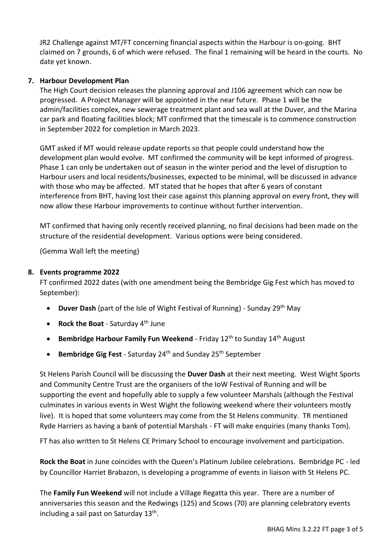JR2 Challenge against MT/FT concerning financial aspects within the Harbour is on-going. BHT claimed on 7 grounds, 6 of which were refused. The final 1 remaining will be heard in the courts. No date yet known.

### **7. Harbour Development Plan**

The High Court decision releases the planning approval and J106 agreement which can now be progressed. A Project Manager will be appointed in the near future. Phase 1 will be the admin/facilities complex, new sewerage treatment plant and sea wall at the Duver, and the Marina car park and floating facilities block; MT confirmed that the timescale is to commence construction in September 2022 for completion in March 2023.

GMT asked if MT would release update reports so that people could understand how the development plan would evolve. MT confirmed the community will be kept informed of progress. Phase 1 can only be undertaken out of season in the winter period and the level of disruption to Harbour users and local residents/businesses, expected to be minimal, will be discussed in advance with those who may be affected. MT stated that he hopes that after 6 years of constant interference from BHT, having lost their case against this planning approval on every front, they will now allow these Harbour improvements to continue without further intervention.

MT confirmed that having only recently received planning, no final decisions had been made on the structure of the residential development. Various options were being considered.

(Gemma Wall left the meeting)

#### **8. Events programme 2022**

FT confirmed 2022 dates (with one amendment being the Bembridge Gig Fest which has moved to September):

- **Duver Dash** (part of the Isle of Wight Festival of Running) Sunday 29th May
- **Rock the Boat** Saturday 4th June
- **Bembridge Harbour Family Fun Weekend** Friday 12<sup>th</sup> to Sunday 14<sup>th</sup> August
- **Bembridge Gig Fest** Saturday 24th and Sunday 25th September

St Helens Parish Council will be discussing the **Duver Dash** at their next meeting. West Wight Sports and Community Centre Trust are the organisers of the IoW Festival of Running and will be supporting the event and hopefully able to supply a few volunteer Marshals (although the Festival culminates in various events in West Wight the following weekend where their volunteers mostly live). It is hoped that some volunteers may come from the St Helens community. TR mentioned Ryde Harriers as having a bank of potential Marshals - FT will make enquiries (many thanks Tom).

FT has also written to St Helens CE Primary School to encourage involvement and participation.

**Rock the Boat** in June coincides with the Queen's Platinum Jubilee celebrations. Bembridge PC - led by Councillor Harriet Brabazon, is developing a programme of events in liaison with St Helens PC.

The **Family Fun Weekend** will not include a Village Regatta this year. There are a number of anniversaries this season and the Redwings (125) and Scows (70) are planning celebratory events including a sail past on Saturday 13<sup>th</sup>.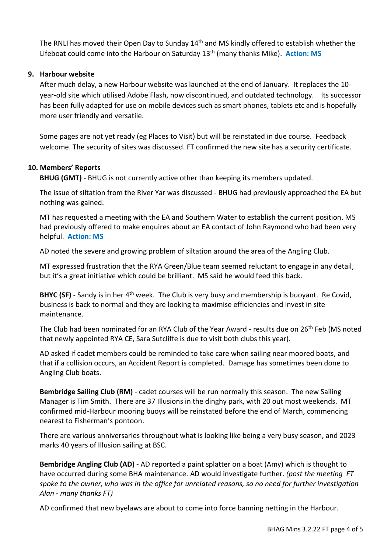The RNLI has moved their Open Day to Sunday 14<sup>th</sup> and MS kindly offered to establish whether the Lifeboat could come into the Harbour on Saturday 13<sup>th</sup> (many thanks Mike). Action: MS

### **9. Harbour website**

After much delay, a new Harbour website was launched at the end of January. It replaces the 10 year-old site which utilised Adobe Flash, now discontinued, and outdated technology. Its successor has been fully adapted for use on mobile devices such as smart phones, tablets etc and is hopefully more user friendly and versatile.

Some pages are not yet ready (eg Places to Visit) but will be reinstated in due course. Feedback welcome. The security of sites was discussed. FT confirmed the new site has a security certificate.

### **10. Members' Reports**

**BHUG (GMT)** - BHUG is not currently active other than keeping its members updated.

The issue of siltation from the River Yar was discussed - BHUG had previously approached the EA but nothing was gained.

MT has requested a meeting with the EA and Southern Water to establish the current position. MS had previously offered to make enquires about an EA contact of John Raymond who had been very helpful. **Action: MS**

AD noted the severe and growing problem of siltation around the area of the Angling Club.

MT expressed frustration that the RYA Green/Blue team seemed reluctant to engage in any detail, but it's a great initiative which could be brilliant. MS said he would feed this back.

**BHYC (SF)** - Sandy is in her 4<sup>th</sup> week. The Club is very busy and membership is buoyant. Re Covid, business is back to normal and they are looking to maximise efficiencies and invest in site maintenance.

The Club had been nominated for an RYA Club of the Year Award - results due on 26<sup>th</sup> Feb (MS noted that newly appointed RYA CE, Sara Sutcliffe is due to visit both clubs this year).

AD asked if cadet members could be reminded to take care when sailing near moored boats, and that if a collision occurs, an Accident Report is completed. Damage has sometimes been done to Angling Club boats.

**Bembridge Sailing Club (RM)** - cadet courses will be run normally this season. The new Sailing Manager is Tim Smith. There are 37 Illusions in the dinghy park, with 20 out most weekends. MT confirmed mid-Harbour mooring buoys will be reinstated before the end of March, commencing nearest to Fisherman's pontoon.

There are various anniversaries throughout what is looking like being a very busy season, and 2023 marks 40 years of Illusion sailing at BSC.

**Bembridge Angling Club (AD)** - AD reported a paint splatter on a boat (Amy) which is thought to have occurred during some BHA maintenance. AD would investigate further. *(post the meeting FT spoke to the owner, who was in the office for unrelated reasons, so no need for further investigation Alan - many thanks FT)* 

AD confirmed that new byelaws are about to come into force banning netting in the Harbour.